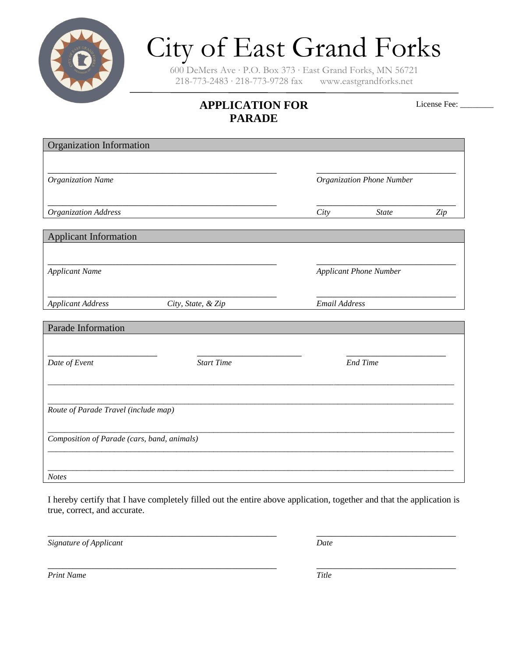

## City of East Grand Forks

600 DeMers Ave ∙ P.O. Box 373 ∙ East Grand Forks, MN 56721 218-773-2483 ∙ 218-773-9728 fax www.eastgrandforks.net

## **APPLICATION FOR PARADE**

License Fee:

| Organization Information                       |                   |                                  |              |     |
|------------------------------------------------|-------------------|----------------------------------|--------------|-----|
| Organization Name                              |                   | <b>Organization Phone Number</b> |              |     |
| <b>Organization Address</b>                    |                   | City                             | <b>State</b> | Zip |
| <b>Applicant Information</b>                   |                   |                                  |              |     |
| <b>Applicant Name</b>                          |                   | <b>Applicant Phone Number</b>    |              |     |
| <b>Applicant Address</b><br>City, State, & Zip |                   | <b>Email Address</b>             |              |     |
| Parade Information                             |                   |                                  |              |     |
| Date of Event                                  | <b>Start Time</b> | <b>End Time</b>                  |              |     |
| Route of Parade Travel (include map)           |                   |                                  |              |     |
| Composition of Parade (cars, band, animals)    |                   |                                  |              |     |
| <b>Notes</b>                                   |                   |                                  |              |     |

I hereby certify that I have completely filled out the entire above application, together and that the application is true, correct, and accurate.

\_\_\_\_\_\_\_\_\_\_\_\_\_\_\_\_\_\_\_\_\_\_\_\_\_\_\_\_\_\_\_\_\_\_\_\_\_\_\_\_\_\_\_\_\_\_ \_\_\_\_\_\_\_\_\_\_\_\_\_\_\_\_\_\_\_\_\_\_\_\_\_\_\_\_

*Signature of Applicant Date*

\_\_\_\_\_\_\_\_\_\_\_\_\_\_\_\_\_\_\_\_\_\_\_\_\_\_\_\_\_\_\_\_\_\_\_\_\_\_\_\_\_\_\_\_\_\_ \_\_\_\_\_\_\_\_\_\_\_\_\_\_\_\_\_\_\_\_\_\_\_\_\_\_\_\_

*Print Name Title*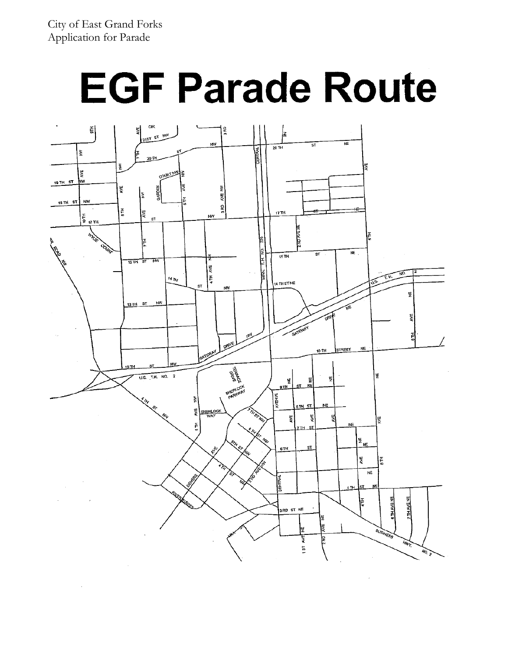## **EGF Parade Route**